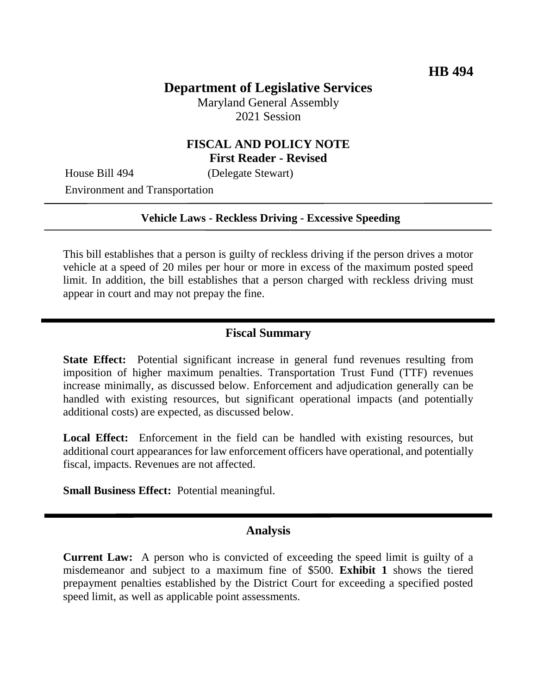## **Department of Legislative Services**

Maryland General Assembly 2021 Session

### **FISCAL AND POLICY NOTE First Reader - Revised**

House Bill 494 (Delegate Stewart)

Environment and Transportation

#### **Vehicle Laws - Reckless Driving - Excessive Speeding**

This bill establishes that a person is guilty of reckless driving if the person drives a motor vehicle at a speed of 20 miles per hour or more in excess of the maximum posted speed limit. In addition, the bill establishes that a person charged with reckless driving must appear in court and may not prepay the fine.

#### **Fiscal Summary**

**State Effect:** Potential significant increase in general fund revenues resulting from imposition of higher maximum penalties. Transportation Trust Fund (TTF) revenues increase minimally, as discussed below. Enforcement and adjudication generally can be handled with existing resources, but significant operational impacts (and potentially additional costs) are expected, as discussed below.

Local Effect: Enforcement in the field can be handled with existing resources, but additional court appearances for law enforcement officers have operational, and potentially fiscal, impacts. Revenues are not affected.

**Small Business Effect:** Potential meaningful.

#### **Analysis**

**Current Law:** A person who is convicted of exceeding the speed limit is guilty of a misdemeanor and subject to a maximum fine of \$500. **Exhibit 1** shows the tiered prepayment penalties established by the District Court for exceeding a specified posted speed limit, as well as applicable point assessments.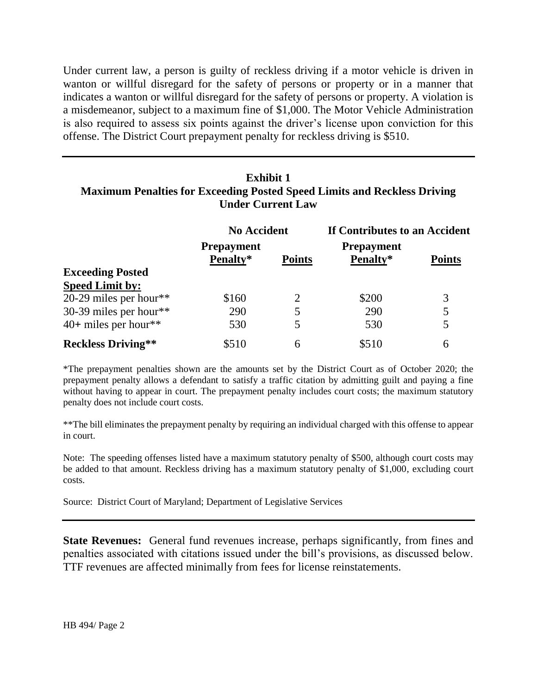Under current law, a person is guilty of reckless driving if a motor vehicle is driven in wanton or willful disregard for the safety of persons or property or in a manner that indicates a wanton or willful disregard for the safety of persons or property. A violation is a misdemeanor, subject to a maximum fine of \$1,000. The Motor Vehicle Administration is also required to assess six points against the driver's license upon conviction for this offense. The District Court prepayment penalty for reckless driving is \$510.

## **Exhibit 1 Maximum Penalties for Exceeding Posted Speed Limits and Reckless Driving Under Current Law**

|                           | <b>No Accident</b>            |               | If Contributes to an Accident |               |
|---------------------------|-------------------------------|---------------|-------------------------------|---------------|
|                           | <b>Prepayment</b><br>Penalty* | <b>Points</b> | <b>Prepayment</b><br>Penalty* | <b>Points</b> |
| <b>Exceeding Posted</b>   |                               |               |                               |               |
| <b>Speed Limit by:</b>    |                               |               |                               |               |
| 20-29 miles per hour**    | \$160                         |               | \$200                         | 3             |
| 30-39 miles per hour**    | 290                           |               | 290                           | 5             |
| $40+$ miles per hour**    | 530                           | 5             | 530                           | 5             |
| <b>Reckless Driving**</b> | \$510                         | 6             | \$510                         | 6             |

\*The prepayment penalties shown are the amounts set by the District Court as of October 2020; the prepayment penalty allows a defendant to satisfy a traffic citation by admitting guilt and paying a fine without having to appear in court. The prepayment penalty includes court costs; the maximum statutory penalty does not include court costs.

\*\*The bill eliminates the prepayment penalty by requiring an individual charged with this offense to appear in court.

Note: The speeding offenses listed have a maximum statutory penalty of \$500, although court costs may be added to that amount. Reckless driving has a maximum statutory penalty of \$1,000, excluding court costs.

Source: District Court of Maryland; Department of Legislative Services

**State Revenues:** General fund revenues increase, perhaps significantly, from fines and penalties associated with citations issued under the bill's provisions, as discussed below. TTF revenues are affected minimally from fees for license reinstatements.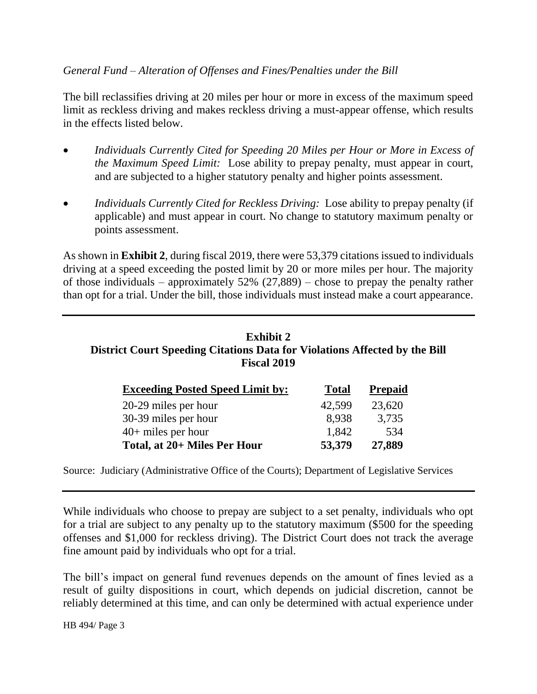### *General Fund – Alteration of Offenses and Fines/Penalties under the Bill*

The bill reclassifies driving at 20 miles per hour or more in excess of the maximum speed limit as reckless driving and makes reckless driving a must-appear offense, which results in the effects listed below.

- *Individuals Currently Cited for Speeding 20 Miles per Hour or More in Excess of the Maximum Speed Limit:* Lose ability to prepay penalty, must appear in court, and are subjected to a higher statutory penalty and higher points assessment.
- *Individuals Currently Cited for Reckless Driving:* Lose ability to prepay penalty (if applicable) and must appear in court. No change to statutory maximum penalty or points assessment.

As shown in **Exhibit 2**, during fiscal 2019, there were 53,379 citations issued to individuals driving at a speed exceeding the posted limit by 20 or more miles per hour. The majority of those individuals – approximately  $52\%$  (27,889) – chose to prepay the penalty rather than opt for a trial. Under the bill, those individuals must instead make a court appearance.

# **Exhibit 2 District Court Speeding Citations Data for Violations Affected by the Bill Fiscal 2019**

| <b>Exceeding Posted Speed Limit by:</b> | <b>Total</b> | <b>Prepaid</b> |
|-----------------------------------------|--------------|----------------|
| 20-29 miles per hour                    | 42,599       | 23,620         |
| 30-39 miles per hour                    | 8.938        | 3,735          |
| $40+$ miles per hour                    | 1,842        | 534            |
| Total, at 20+ Miles Per Hour            | 53,379       | 27,889         |

Source: Judiciary (Administrative Office of the Courts); Department of Legislative Services

While individuals who choose to prepay are subject to a set penalty, individuals who opt for a trial are subject to any penalty up to the statutory maximum (\$500 for the speeding offenses and \$1,000 for reckless driving). The District Court does not track the average fine amount paid by individuals who opt for a trial.

The bill's impact on general fund revenues depends on the amount of fines levied as a result of guilty dispositions in court, which depends on judicial discretion, cannot be reliably determined at this time, and can only be determined with actual experience under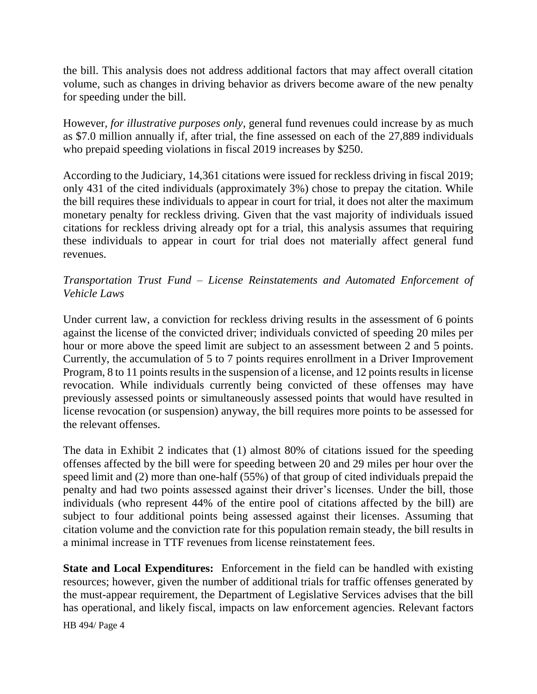the bill. This analysis does not address additional factors that may affect overall citation volume, such as changes in driving behavior as drivers become aware of the new penalty for speeding under the bill.

However, *for illustrative purposes only*, general fund revenues could increase by as much as \$7.0 million annually if, after trial, the fine assessed on each of the 27,889 individuals who prepaid speeding violations in fiscal 2019 increases by \$250.

According to the Judiciary, 14,361 citations were issued for reckless driving in fiscal 2019; only 431 of the cited individuals (approximately 3%) chose to prepay the citation. While the bill requires these individuals to appear in court for trial, it does not alter the maximum monetary penalty for reckless driving. Given that the vast majority of individuals issued citations for reckless driving already opt for a trial, this analysis assumes that requiring these individuals to appear in court for trial does not materially affect general fund revenues.

## *Transportation Trust Fund – License Reinstatements and Automated Enforcement of Vehicle Laws*

Under current law, a conviction for reckless driving results in the assessment of 6 points against the license of the convicted driver; individuals convicted of speeding 20 miles per hour or more above the speed limit are subject to an assessment between 2 and 5 points. Currently, the accumulation of 5 to 7 points requires enrollment in a Driver Improvement Program, 8 to 11 points results in the suspension of a license, and 12 points results in license revocation. While individuals currently being convicted of these offenses may have previously assessed points or simultaneously assessed points that would have resulted in license revocation (or suspension) anyway, the bill requires more points to be assessed for the relevant offenses.

The data in Exhibit 2 indicates that (1) almost 80% of citations issued for the speeding offenses affected by the bill were for speeding between 20 and 29 miles per hour over the speed limit and (2) more than one-half (55%) of that group of cited individuals prepaid the penalty and had two points assessed against their driver's licenses. Under the bill, those individuals (who represent 44% of the entire pool of citations affected by the bill) are subject to four additional points being assessed against their licenses. Assuming that citation volume and the conviction rate for this population remain steady, the bill results in a minimal increase in TTF revenues from license reinstatement fees.

**State and Local Expenditures:** Enforcement in the field can be handled with existing resources; however, given the number of additional trials for traffic offenses generated by the must-appear requirement, the Department of Legislative Services advises that the bill has operational, and likely fiscal, impacts on law enforcement agencies. Relevant factors

HB 494/ Page 4